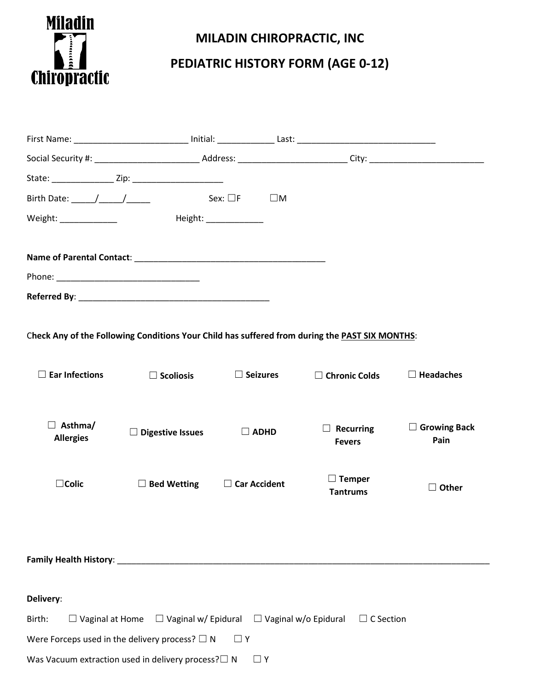

## **MILADIN CHIROPRACTIC, INC**

## **PEDIATRIC HISTORY FORM (AGE 0-12)**

| Birth Date: $\frac{1}{\sqrt{1-\frac{1}{2}}}\frac{1}{\sqrt{1-\frac{1}{2}}}}$                                 |                         | Sex: $\square$ F<br>$\square$ M                                                                               |                                                                                                |                             |
|-------------------------------------------------------------------------------------------------------------|-------------------------|---------------------------------------------------------------------------------------------------------------|------------------------------------------------------------------------------------------------|-----------------------------|
| Weight: _______________                                                                                     |                         | Height: National Property of the Second Second Second Second Second Second Second Second Second Second Second |                                                                                                |                             |
|                                                                                                             |                         |                                                                                                               |                                                                                                |                             |
|                                                                                                             |                         |                                                                                                               |                                                                                                |                             |
|                                                                                                             |                         |                                                                                                               |                                                                                                |                             |
|                                                                                                             |                         |                                                                                                               |                                                                                                |                             |
|                                                                                                             |                         |                                                                                                               |                                                                                                |                             |
|                                                                                                             |                         |                                                                                                               | Check Any of the Following Conditions Your Child has suffered from during the PAST SIX MONTHS: |                             |
|                                                                                                             |                         |                                                                                                               |                                                                                                |                             |
| $\Box$ Ear Infections                                                                                       | $\Box$ Scoliosis        | $\Box$ Seizures                                                                                               | $\Box$ Chronic Colds                                                                           | $\Box$ Headaches            |
|                                                                                                             |                         |                                                                                                               |                                                                                                |                             |
| $\Box$ Asthma/                                                                                              |                         |                                                                                                               |                                                                                                |                             |
| <b>Allergies</b>                                                                                            | $\Box$ Digestive Issues | $\Box$ ADHD                                                                                                   | $\Box$ Recurring<br><b>Fevers</b>                                                              | $\Box$ Growing Back<br>Pain |
|                                                                                                             |                         |                                                                                                               |                                                                                                |                             |
| $\Box$ Colic                                                                                                | $\Box$ Bed Wetting      | $\Box$ Car Accident                                                                                           | $\Box$ Temper                                                                                  |                             |
|                                                                                                             |                         |                                                                                                               | <b>Tantrums</b>                                                                                | $\Box$ Other                |
|                                                                                                             |                         |                                                                                                               |                                                                                                |                             |
|                                                                                                             |                         |                                                                                                               |                                                                                                |                             |
|                                                                                                             |                         |                                                                                                               |                                                                                                |                             |
|                                                                                                             |                         |                                                                                                               |                                                                                                |                             |
| Delivery:                                                                                                   |                         |                                                                                                               |                                                                                                |                             |
| $\Box$ Vaginal at Home $\Box$ Vaginal w/ Epidural $\Box$ Vaginal w/o Epidural<br>$\Box$ C Section<br>Birth: |                         |                                                                                                               |                                                                                                |                             |
| Were Forceps used in the delivery process? $\square$ N                                                      |                         | $\Box$ Y                                                                                                      |                                                                                                |                             |
| Was Vacuum extraction used in delivery process? $\square$ N                                                 |                         | $\Box$ Y                                                                                                      |                                                                                                |                             |